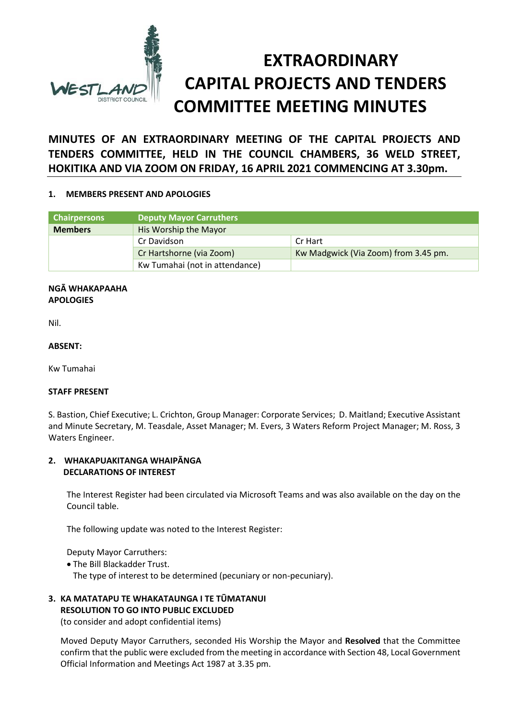

**MINUTES OF AN EXTRAORDINARY MEETING OF THE CAPITAL PROJECTS AND TENDERS COMMITTEE, HELD IN THE COUNCIL CHAMBERS, 36 WELD STREET, HOKITIKA AND VIA ZOOM ON FRIDAY, 16 APRIL 2021 COMMENCING AT 3.30pm.**

### **1. MEMBERS PRESENT AND APOLOGIES**

| <b>Chairpersons</b> | <b>Deputy Mayor Carruthers</b> |                                      |
|---------------------|--------------------------------|--------------------------------------|
| <b>Members</b>      | His Worship the Mayor          |                                      |
|                     | Cr Davidson                    | Cr Hart                              |
|                     | Cr Hartshorne (via Zoom)       | Kw Madgwick (Via Zoom) from 3.45 pm. |
|                     | Kw Tumahai (not in attendance) |                                      |

#### **NGĀ WHAKAPAAHA APOLOGIES**

Nil.

### **ABSENT:**

Kw Tumahai

### **STAFF PRESENT**

S. Bastion, Chief Executive; L. Crichton, Group Manager: Corporate Services; D. Maitland; Executive Assistant and Minute Secretary, M. Teasdale, Asset Manager; M. Evers, 3 Waters Reform Project Manager; M. Ross, 3 Waters Engineer.

### **2. WHAKAPUAKITANGA WHAIPĀNGA DECLARATIONS OF INTEREST**

The Interest Register had been circulated via Microsoft Teams and was also available on the day on the Council table.

The following update was noted to the Interest Register:

Deputy Mayor Carruthers:

The Bill Blackadder Trust.

The type of interest to be determined (pecuniary or non-pecuniary).

# **3. KA MATATAPU TE WHAKATAUNGA I TE TŪMATANUI RESOLUTION TO GO INTO PUBLIC EXCLUDED**

(to consider and adopt confidential items)

Moved Deputy Mayor Carruthers, seconded His Worship the Mayor and **Resolved** that the Committee confirm that the public were excluded from the meeting in accordance with Section 48, Local Government Official Information and Meetings Act 1987 at 3.35 pm.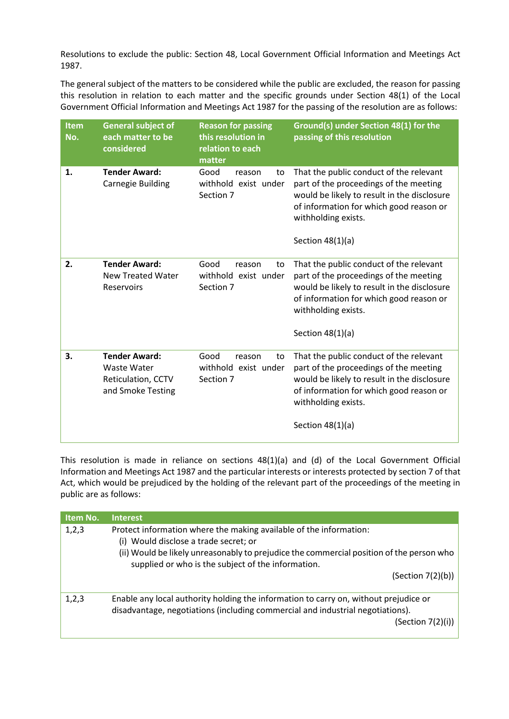Resolutions to exclude the public: Section 48, Local Government Official Information and Meetings Act 1987.

The general subject of the matters to be considered while the public are excluded, the reason for passing this resolution in relation to each matter and the specific grounds under Section 48(1) of the Local Government Official Information and Meetings Act 1987 for the passing of the resolution are as follows:

| Item<br>No. | <b>General subject of</b><br>each matter to be<br>considered                   | <b>Reason for passing</b><br>this resolution in<br>relation to each<br>matter | Ground(s) under Section 48(1) for the<br>passing of this resolution                                                                                                                                                      |
|-------------|--------------------------------------------------------------------------------|-------------------------------------------------------------------------------|--------------------------------------------------------------------------------------------------------------------------------------------------------------------------------------------------------------------------|
| 1.          | <b>Tender Award:</b><br>Carnegie Building                                      | Good<br>reason<br>to<br>withhold exist under<br>Section 7                     | That the public conduct of the relevant<br>part of the proceedings of the meeting<br>would be likely to result in the disclosure<br>of information for which good reason or<br>withholding exists.<br>Section $48(1)(a)$ |
| 2.          | <b>Tender Award:</b><br><b>New Treated Water</b><br><b>Reservoirs</b>          | Good<br>reason<br>to<br>withhold exist under<br>Section 7                     | That the public conduct of the relevant<br>part of the proceedings of the meeting<br>would be likely to result in the disclosure<br>of information for which good reason or<br>withholding exists.<br>Section $48(1)(a)$ |
| 3.          | <b>Tender Award:</b><br>Waste Water<br>Reticulation, CCTV<br>and Smoke Testing | Good<br>reason<br>to<br>withhold exist under<br>Section 7                     | That the public conduct of the relevant<br>part of the proceedings of the meeting<br>would be likely to result in the disclosure<br>of information for which good reason or<br>withholding exists.<br>Section $48(1)(a)$ |

This resolution is made in reliance on sections 48(1)(a) and (d) of the Local Government Official Information and Meetings Act 1987 and the particular interests or interests protected by section 7 of that Act, which would be prejudiced by the holding of the relevant part of the proceedings of the meeting in public are as follows:

| 1,2,3 |                                                                                          |  |  |
|-------|------------------------------------------------------------------------------------------|--|--|
|       | Protect information where the making available of the information:                       |  |  |
|       | (i) Would disclose a trade secret; or                                                    |  |  |
|       | (ii) Would be likely unreasonably to prejudice the commercial position of the person who |  |  |
|       | supplied or who is the subject of the information.                                       |  |  |
|       | (Section 7(2)(b))                                                                        |  |  |
|       |                                                                                          |  |  |
| 1,2,3 | Enable any local authority holding the information to carry on, without prejudice or     |  |  |
|       | disadvantage, negotiations (including commercial and industrial negotiations).           |  |  |
|       | (Section 7(2)(i))                                                                        |  |  |
|       |                                                                                          |  |  |